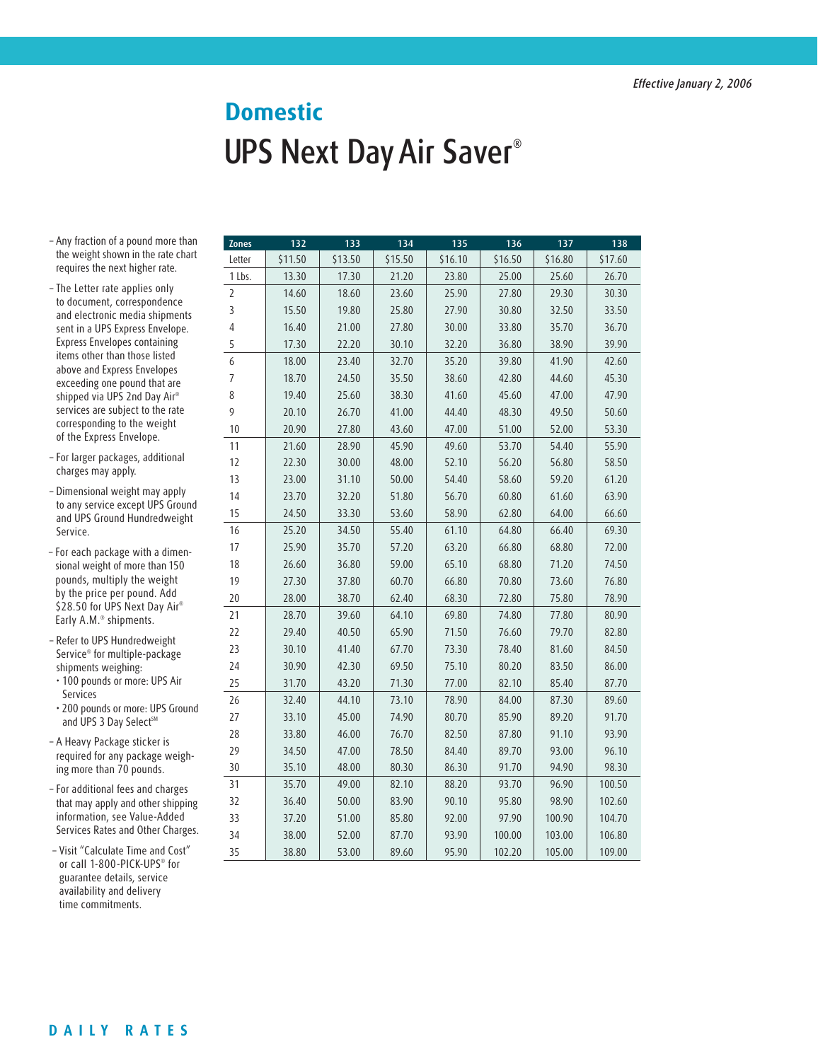## UPS Next Day Air Saver® **Domestic**

- Any fraction of a pound more than the weight shown in the rate chart requires the next higher rate.
- The Letter rate applies only to document, correspondence and electronic media shipments sent in a UPS Express Envelope. Express Envelopes containing items other than those listed above and Express Envelopes exceeding one pound that are shipped via UPS 2nd Day Air® services are subject to the rate corresponding to the weight of the Express Envelope.
- For larger packages, additional charges may apply.
- Dimensional weight may apply to any service except UPS Ground and UPS Ground Hundredweight Service.
- For each package with a dimensional weight of more than 150 pounds, multiply the weight by the price per pound. Add \$28.50 for UPS Next Day Air® Early A.M.® shipments.
- Refer to UPS Hundredweight Service® for multiple-package shipments weighing:
- 100 pounds or more: UPS Air Services
- 200 pounds or more: UPS Ground and UPS 3 Day Select<sup>SM</sup>
- A Heavy Package sticker is required for any package weighing more than 70 pounds.
- For additional fees and charges that may apply and other shipping information, see Value-Added Services Rates and Other Charges.
- Visit "Calculate Time and Cost" or call 1-800-PICK-UPS® for guarantee details, service availability and delivery time commitments.

| Zones          | 132     | 133     | 134     | 135     | 136     | 137     | 138     |
|----------------|---------|---------|---------|---------|---------|---------|---------|
| Letter         | \$11.50 | \$13.50 | \$15.50 | \$16.10 | \$16.50 | \$16.80 | \$17.60 |
| 1 Lbs.         | 13.30   | 17.30   | 21.20   | 23.80   | 25.00   | 25.60   | 26.70   |
| $\overline{2}$ | 14.60   | 18.60   | 23.60   | 25.90   | 27.80   | 29.30   | 30.30   |
| 3              | 15.50   | 19.80   | 25.80   | 27.90   | 30.80   | 32.50   | 33.50   |
| 4              | 16.40   | 21.00   | 27.80   | 30.00   | 33.80   | 35.70   | 36.70   |
| 5              | 17.30   | 22.20   | 30.10   | 32.20   | 36.80   | 38.90   | 39.90   |
| 6              | 18.00   | 23.40   | 32.70   | 35.20   | 39.80   | 41.90   | 42.60   |
| $\overline{7}$ | 18.70   | 24.50   | 35.50   | 38.60   | 42.80   | 44.60   | 45.30   |
| 8              | 19.40   | 25.60   | 38.30   | 41.60   | 45.60   | 47.00   | 47.90   |
| 9              | 20.10   | 26.70   | 41.00   | 44.40   | 48.30   | 49.50   | 50.60   |
| 10             | 20.90   | 27.80   | 43.60   | 47.00   | 51.00   | 52.00   | 53.30   |
| 11             | 21.60   | 28.90   | 45.90   | 49.60   | 53.70   | 54.40   | 55.90   |
| 12             | 22.30   | 30.00   | 48.00   | 52.10   | 56.20   | 56.80   | 58.50   |
| 13             | 23.00   | 31.10   | 50.00   | 54.40   | 58.60   | 59.20   | 61.20   |
| 14             | 23.70   | 32.20   | 51.80   | 56.70   | 60.80   | 61.60   | 63.90   |
| 15             | 24.50   | 33.30   | 53.60   | 58.90   | 62.80   | 64.00   | 66.60   |
| 16             | 25.20   | 34.50   | 55.40   | 61.10   | 64.80   | 66.40   | 69.30   |
| 17             | 25.90   | 35.70   | 57.20   | 63.20   | 66.80   | 68.80   | 72.00   |
| 18             | 26.60   | 36.80   | 59.00   | 65.10   | 68.80   | 71.20   | 74.50   |
| 19             | 27.30   | 37.80   | 60.70   | 66.80   | 70.80   | 73.60   | 76.80   |
| 20             | 28.00   | 38.70   | 62.40   | 68.30   | 72.80   | 75.80   | 78.90   |
| 21             | 28.70   | 39.60   | 64.10   | 69.80   | 74.80   | 77.80   | 80.90   |
| 22             | 29.40   | 40.50   | 65.90   | 71.50   | 76.60   | 79.70   | 82.80   |
| 23             | 30.10   | 41.40   | 67.70   | 73.30   | 78.40   | 81.60   | 84.50   |
| 24             | 30.90   | 42.30   | 69.50   | 75.10   | 80.20   | 83.50   | 86.00   |
| 25             | 31.70   | 43.20   | 71.30   | 77.00   | 82.10   | 85.40   | 87.70   |
| 26             | 32.40   | 44.10   | 73.10   | 78.90   | 84.00   | 87.30   | 89.60   |
| 27             | 33.10   | 45.00   | 74.90   | 80.70   | 85.90   | 89.20   | 91.70   |
| 28             | 33.80   | 46.00   | 76.70   | 82.50   | 87.80   | 91.10   | 93.90   |
| 29             | 34.50   | 47.00   | 78.50   | 84.40   | 89.70   | 93.00   | 96.10   |
| 30             | 35.10   | 48.00   | 80.30   | 86.30   | 91.70   | 94.90   | 98.30   |
| 31             | 35.70   | 49.00   | 82.10   | 88.20   | 93.70   | 96.90   | 100.50  |
| 32             | 36.40   | 50.00   | 83.90   | 90.10   | 95.80   | 98.90   | 102.60  |
| 33             | 37.20   | 51.00   | 85.80   | 92.00   | 97.90   | 100.90  | 104.70  |
| 34             | 38.00   | 52.00   | 87.70   | 93.90   | 100.00  | 103.00  | 106.80  |
| 35             | 38.80   | 53.00   | 89.60   | 95.90   | 102.20  | 105.00  | 109.00  |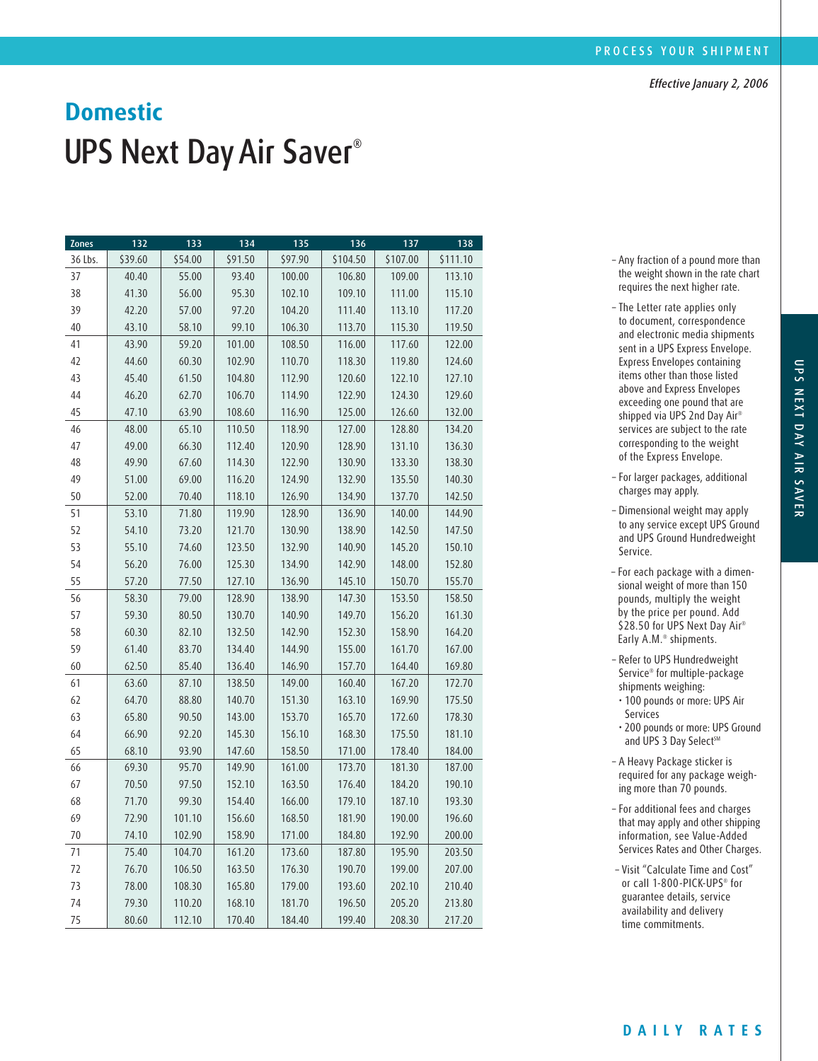## UPS Next Day Air Saver<sup>®</sup> **Domestic**

| <b>Zones</b> | 132     | 133     | 134     | 135     | 136      | 137      | 138      |
|--------------|---------|---------|---------|---------|----------|----------|----------|
| 36 Lbs.      | \$39.60 | \$54.00 | \$91.50 | \$97.90 | \$104.50 | \$107.00 | \$111.10 |
| 37           | 40.40   | 55.00   | 93.40   | 100.00  | 106.80   | 109.00   | 113.10   |
| 38           | 41.30   | 56.00   | 95.30   | 102.10  | 109.10   | 111.00   | 115.10   |
| 39           | 42.20   | 57.00   | 97.20   | 104.20  | 111.40   | 113.10   | 117.20   |
| 40           | 43.10   | 58.10   | 99.10   | 106.30  | 113.70   | 115.30   | 119.50   |
| 41           | 43.90   | 59.20   | 101.00  | 108.50  | 116.00   | 117.60   | 122.00   |
| 42           | 44.60   | 60.30   | 102.90  | 110.70  | 118.30   | 119.80   | 124.60   |
| 43           | 45.40   | 61.50   | 104.80  | 112.90  | 120.60   | 122.10   | 127.10   |
| 44           | 46.20   | 62.70   | 106.70  | 114.90  | 122.90   | 124.30   | 129.60   |
| 45           | 47.10   | 63.90   | 108.60  | 116.90  | 125.00   | 126.60   | 132.00   |
| 46           | 48.00   | 65.10   | 110.50  | 118.90  | 127.00   | 128.80   | 134.20   |
| 47           | 49.00   | 66.30   | 112.40  | 120.90  | 128.90   | 131.10   | 136.30   |
| 48           | 49.90   | 67.60   | 114.30  | 122.90  | 130.90   | 133.30   | 138.30   |
| 49           | 51.00   | 69.00   | 116.20  | 124.90  | 132.90   | 135.50   | 140.30   |
| 50           | 52.00   | 70.40   | 118.10  | 126.90  | 134.90   | 137.70   | 142.50   |
| 51           | 53.10   | 71.80   | 119.90  | 128.90  | 136.90   | 140.00   | 144.90   |
| 52           | 54.10   | 73.20   | 121.70  | 130.90  | 138.90   | 142.50   | 147.50   |
| 53           | 55.10   | 74.60   | 123.50  | 132.90  | 140.90   | 145.20   | 150.10   |
| 54           | 56.20   | 76.00   | 125.30  | 134.90  | 142.90   | 148.00   | 152.80   |
| 55           | 57.20   | 77.50   | 127.10  | 136.90  | 145.10   | 150.70   | 155.70   |
| 56           | 58.30   | 79.00   | 128.90  | 138.90  | 147.30   | 153.50   | 158.50   |
| 57           | 59.30   | 80.50   | 130.70  | 140.90  | 149.70   | 156.20   | 161.30   |
| 58           | 60.30   | 82.10   | 132.50  | 142.90  | 152.30   | 158.90   | 164.20   |
| 59           | 61.40   | 83.70   | 134.40  | 144.90  | 155.00   | 161.70   | 167.00   |
| 60           | 62.50   | 85.40   | 136.40  | 146.90  | 157.70   | 164.40   | 169.80   |
| 61           | 63.60   | 87.10   | 138.50  | 149.00  | 160.40   | 167.20   | 172.70   |
| 62           | 64.70   | 88.80   | 140.70  | 151.30  | 163.10   | 169.90   | 175.50   |
| 63           | 65.80   | 90.50   | 143.00  | 153.70  | 165.70   | 172.60   | 178.30   |
| 64           | 66.90   | 92.20   | 145.30  | 156.10  | 168.30   | 175.50   | 181.10   |
| 65           | 68.10   | 93.90   | 147.60  | 158.50  | 171.00   | 178.40   | 184.00   |
| 66           | 69.30   | 95.70   | 149.90  | 161.00  | 173.70   | 181.30   | 187.00   |
| 67           | 70.50   | 97.50   | 152.10  | 163.50  | 176.40   | 184.20   | 190.10   |
| 68           | 71.70   | 99.30   | 154.40  | 166.00  | 179.10   | 187.10   | 193.30   |
| 69           | 72.90   | 101.10  | 156.60  | 168.50  | 181.90   | 190.00   | 196.60   |
| 70           | 74.10   | 102.90  | 158.90  | 171.00  | 184.80   | 192.90   | 200.00   |
| 71           | 75.40   | 104.70  | 161.20  | 173.60  | 187.80   | 195.90   | 203.50   |
| 72           | 76.70   | 106.50  | 163.50  | 176.30  | 190.70   | 199.00   | 207.00   |
| 73           | 78.00   | 108.30  | 165.80  | 179.00  | 193.60   | 202.10   | 210.40   |
| 74           | 79.30   | 110.20  | 168.10  | 181.70  | 196.50   | 205.20   | 213.80   |
| 75           | 80.60   | 112.10  | 170.40  | 184.40  | 199.40   | 208.30   | 217.20   |

– Any fraction of a pound more than the weight shown in the rate chart requires the next higher rate.

- The Letter rate applies only to document, correspondence and electronic media shipments sent in a UPS Express Envelope. Express Envelopes containing items other than those listed above and Express Envelopes exceeding one pound that are shipped via UPS 2nd Day Air® services are subject to the rate corresponding to the weight of the Express Envelope.
- For larger packages, additional charges may apply.
- Dimensional weight may apply to any service except UPS Ground and UPS Ground Hundredweight Service.
- For each package with a dimensional weight of more than 150 pounds, multiply the weight by the price per pound. Add \$28.50 for UPS Next Day Air® Early A.M.® shipments.
- Refer to UPS Hundredweight Service® for multiple-package shipments weighing:
- 100 pounds or more: UPS Air Services
- 200 pounds or more: UPS Ground and UPS 3 Day Select<sup>SM</sup>
- A Heavy Package sticker is required for any package weighing more than 70 pounds.
- For additional fees and charges that may apply and other shipping information, see Value-Added Services Rates and Other Charges.
- Visit "Calculate Time and Cost" or call 1-800-PICK-UPS® for guarantee details, service availability and delivery time commitments.

UPS NEX

ا<br>ا

AY AIR S

AVER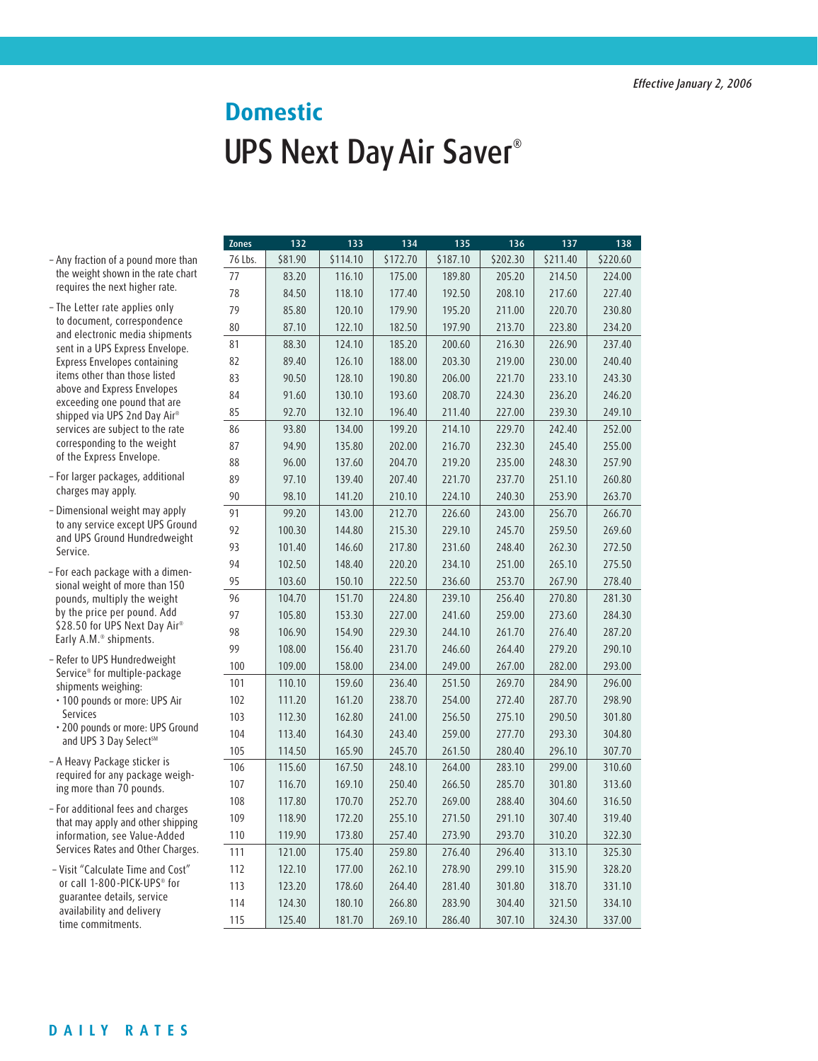## UPS Next Day Air Saver® **Domestic**

- Any fraction of a pound more than the weight shown in the rate chart requires the next higher rate.
- The Letter rate applies only to document, correspondence and electronic media shipments sent in a UPS Express Envelope. Express Envelopes containing items other than those listed above and Express Envelopes exceeding one pound that are shipped via UPS 2nd Day Air® services are subject to the rate corresponding to the weight of the Express Envelope.
- For larger packages, additional charges may apply.
- Dimensional weight may apply to any service except UPS Ground and UPS Ground Hundredweight Service.
- For each package with a dimensional weight of more than 150 pounds, multiply the weight by the price per pound. Add \$28.50 for UPS Next Day Air® Early A.M.® shipments.
- Refer to UPS Hundredweight Service® for multiple-package shipments weighing:
- 100 pounds or more: UPS Air Services

• 200 pounds or more: UPS Ground and UPS 3 Day Select<sup>SM</sup>

- A Heavy Package sticker is required for any package weighing more than 70 pounds.
- For additional fees and charges that may apply and other shipping information, see Value-Added Services Rates and Other Charges.

– Visit "Calculate Time and Cost" or call 1-800-PICK-UPS® for guarantee details, service availability and delivery time commitments.

| <b>Zones</b> | 132     | 133      | 134      | 135      | 136      | 137      | 138      |
|--------------|---------|----------|----------|----------|----------|----------|----------|
| 76 Lbs.      | \$81.90 | \$114.10 | \$172.70 | \$187.10 | \$202.30 | \$211.40 | \$220.60 |
| 77           | 83.20   | 116.10   | 175.00   | 189.80   | 205.20   | 214.50   | 224.00   |
| 78           | 84.50   | 118.10   | 177.40   | 192.50   | 208.10   | 217.60   | 227.40   |
| 79           | 85.80   | 120.10   | 179.90   | 195.20   | 211.00   | 220.70   | 230.80   |
| 80           | 87.10   | 122.10   | 182.50   | 197.90   | 213.70   | 223.80   | 234.20   |
| 81           | 88.30   | 124.10   | 185.20   | 200.60   | 216.30   | 226.90   | 237.40   |
| 82           | 89.40   | 126.10   | 188.00   | 203.30   | 219.00   | 230.00   | 240.40   |
| 83           | 90.50   | 128.10   | 190.80   | 206.00   | 221.70   | 233.10   | 243.30   |
| 84           | 91.60   | 130.10   | 193.60   | 208.70   | 224.30   | 236.20   | 246.20   |
| 85           | 92.70   | 132.10   | 196.40   | 211.40   | 227.00   | 239.30   | 249.10   |
| 86           | 93.80   | 134.00   | 199.20   | 214.10   | 229.70   | 242.40   | 252.00   |
| 87           | 94.90   | 135.80   | 202.00   | 216.70   | 232.30   | 245.40   | 255.00   |
| 88           | 96.00   | 137.60   | 204.70   | 219.20   | 235.00   | 248.30   | 257.90   |
| 89           | 97.10   | 139.40   | 207.40   | 221.70   | 237.70   | 251.10   | 260.80   |
| 90           | 98.10   | 141.20   | 210.10   | 224.10   | 240.30   | 253.90   | 263.70   |
| 91           | 99.20   | 143.00   | 212.70   | 226.60   | 243.00   | 256.70   | 266.70   |
| 92           | 100.30  | 144.80   | 215.30   | 229.10   | 245.70   | 259.50   | 269.60   |
| 93           | 101.40  | 146.60   | 217.80   | 231.60   | 248.40   | 262.30   | 272.50   |
| 94           | 102.50  | 148.40   | 220.20   | 234.10   | 251.00   | 265.10   | 275.50   |
| 95           | 103.60  | 150.10   | 222.50   | 236.60   | 253.70   | 267.90   | 278.40   |
| 96           | 104.70  | 151.70   | 224.80   | 239.10   | 256.40   | 270.80   | 281.30   |
| 97           | 105.80  | 153.30   | 227.00   | 241.60   | 259.00   | 273.60   | 284.30   |
| 98           | 106.90  | 154.90   | 229.30   | 244.10   | 261.70   | 276.40   | 287.20   |
| 99           | 108.00  | 156.40   | 231.70   | 246.60   | 264.40   | 279.20   | 290.10   |
| 100          | 109.00  | 158.00   | 234.00   | 249.00   | 267.00   | 282.00   | 293.00   |
| 101          | 110.10  | 159.60   | 236.40   | 251.50   | 269.70   | 284.90   | 296.00   |
| 102          | 111.20  | 161.20   | 238.70   | 254.00   | 272.40   | 287.70   | 298.90   |
| 103          | 112.30  | 162.80   | 241.00   | 256.50   | 275.10   | 290.50   | 301.80   |
| 104          | 113.40  | 164.30   | 243.40   | 259.00   | 277.70   | 293.30   | 304.80   |
| 105          | 114.50  | 165.90   | 245.70   | 261.50   | 280.40   | 296.10   | 307.70   |
| 106          | 115.60  | 167.50   | 248.10   | 264.00   | 283.10   | 299.00   | 310.60   |
| 107          | 116.70  | 169.10   | 250.40   | 266.50   | 285.70   | 301.80   | 313.60   |
| 108          | 117.80  | 170.70   | 252.70   | 269.00   | 288.40   | 304.60   | 316.50   |
| 109          | 118.90  | 172.20   | 255.10   | 271.50   | 291.10   | 307.40   | 319.40   |
| 110          | 119.90  | 173.80   | 257.40   | 273.90   | 293.70   | 310.20   | 322.30   |
| 111          | 121.00  | 175.40   | 259.80   | 276.40   | 296.40   | 313.10   | 325.30   |
| 112          | 122.10  | 177.00   | 262.10   | 278.90   | 299.10   | 315.90   | 328.20   |
| 113          | 123.20  | 178.60   | 264.40   | 281.40   | 301.80   | 318.70   | 331.10   |
| 114          | 124.30  | 180.10   | 266.80   | 283.90   | 304.40   | 321.50   | 334.10   |
| 115          | 125.40  | 181.70   | 269.10   | 286.40   | 307.10   | 324.30   | 337.00   |